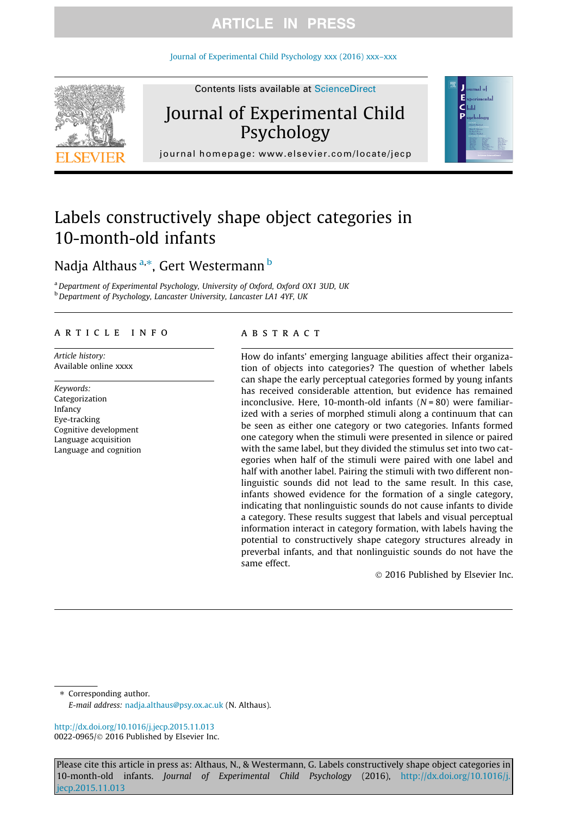#### [Journal of Experimental Child Psychology xxx \(2016\) xxx–xxx](http://dx.doi.org/10.1016/j.jecp.2015.11.013)



Contents lists available at ScienceDirect

# Journal of Experimental Child Psychology



journal homepage: [www.elsevier.com/locate/jecp](http://www.elsevier.com/locate/jecp)/ $j$ 

# Labels constructively shape object categories in 10-month-old infants

# Nadja Althaus <sup>a,</sup>\*, Gert Westermann <sup>b</sup>

a Department of Experimental Psychology, University of Oxford, Oxford OX1 3UD, UK **b** Department of Psychology, Lancaster University, Lancaster LA1 4YF, UK

# article info

Article history: Available online xxxx

Keywords: Categorization Infancy Eye-tracking Cognitive development Language acquisition Language and cognition

# **ABSTRACT**

How do infants' emerging language abilities affect their organization of objects into categories? The question of whether labels can shape the early perceptual categories formed by young infants has received considerable attention, but evidence has remained inconclusive. Here, 10-month-old infants  $(N = 80)$  were familiarized with a series of morphed stimuli along a continuum that can be seen as either one category or two categories. Infants formed one category when the stimuli were presented in silence or paired with the same label, but they divided the stimulus set into two categories when half of the stimuli were paired with one label and half with another label. Pairing the stimuli with two different nonlinguistic sounds did not lead to the same result. In this case, infants showed evidence for the formation of a single category, indicating that nonlinguistic sounds do not cause infants to divide a category. These results suggest that labels and visual perceptual information interact in category formation, with labels having the potential to constructively shape category structures already in preverbal infants, and that nonlinguistic sounds do not have the same effect.

2016 Published by Elsevier Inc.

⇑ Corresponding author. E-mail address: [nadja.althaus@psy.ox.ac.uk](mailto:nadja.althaus@psy.ox.ac.uk) (N. Althaus).

<http://dx.doi.org/10.1016/j.jecp.2015.11.013> 0022-0965/© 2016 Published by Elsevier Inc.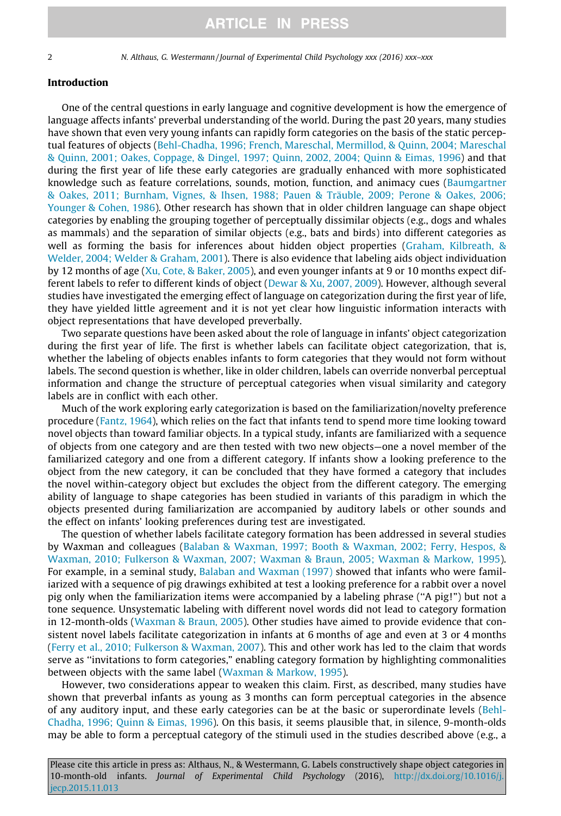# Introduction

One of the central questions in early language and cognitive development is how the emergence of language affects infants' preverbal understanding of the world. During the past 20 years, many studies have shown that even very young infants can rapidly form categories on the basis of the static perceptual features of objects [\(Behl-Chadha, 1996; French, Mareschal, Mermillod, & Quinn, 2004; Mareschal](#page-11-0) [& Quinn, 2001; Oakes, Coppage, & Dingel, 1997; Quinn, 2002, 2004; Quinn & Eimas, 1996](#page-11-0)) and that during the first year of life these early categories are gradually enhanced with more sophisticated knowledge such as feature correlations, sounds, motion, function, and animacy cues [\(Baumgartner](#page-11-0) [& Oakes, 2011; Burnham, Vignes, & Ihsen, 1988; Pauen & Träuble, 2009; Perone & Oakes, 2006;](#page-11-0) [Younger & Cohen, 1986](#page-11-0)). Other research has shown that in older children language can shape object categories by enabling the grouping together of perceptually dissimilar objects (e.g., dogs and whales as mammals) and the separation of similar objects (e.g., bats and birds) into different categories as well as forming the basis for inferences about hidden object properties ([Graham, Kilbreath, &](#page-11-0) [Welder, 2004; Welder & Graham, 2001\)](#page-11-0). There is also evidence that labeling aids object individuation by 12 months of age [\(Xu, Cote, & Baker, 2005\)](#page-12-0), and even younger infants at 9 or 10 months expect different labels to refer to different kinds of object ([Dewar & Xu, 2007, 2009\)](#page-11-0). However, although several studies have investigated the emerging effect of language on categorization during the first year of life, they have yielded little agreement and it is not yet clear how linguistic information interacts with object representations that have developed preverbally.

Two separate questions have been asked about the role of language in infants' object categorization during the first year of life. The first is whether labels can facilitate object categorization, that is, whether the labeling of objects enables infants to form categories that they would not form without labels. The second question is whether, like in older children, labels can override nonverbal perceptual information and change the structure of perceptual categories when visual similarity and category labels are in conflict with each other.

Much of the work exploring early categorization is based on the familiarization/novelty preference procedure [\(Fantz, 1964\)](#page-11-0), which relies on the fact that infants tend to spend more time looking toward novel objects than toward familiar objects. In a typical study, infants are familiarized with a sequence of objects from one category and are then tested with two new objects—one a novel member of the familiarized category and one from a different category. If infants show a looking preference to the object from the new category, it can be concluded that they have formed a category that includes the novel within-category object but excludes the object from the different category. The emerging ability of language to shape categories has been studied in variants of this paradigm in which the objects presented during familiarization are accompanied by auditory labels or other sounds and the effect on infants' looking preferences during test are investigated.

The question of whether labels facilitate category formation has been addressed in several studies by Waxman and colleagues [\(Balaban & Waxman, 1997; Booth & Waxman, 2002; Ferry, Hespos, &](#page-11-0) [Waxman, 2010; Fulkerson & Waxman, 2007; Waxman & Braun, 2005; Waxman & Markow, 1995](#page-11-0)). For example, in a seminal study, [Balaban and Waxman \(1997\)](#page-11-0) showed that infants who were familiarized with a sequence of pig drawings exhibited at test a looking preference for a rabbit over a novel pig only when the familiarization items were accompanied by a labeling phrase (''A pig!") but not a tone sequence. Unsystematic labeling with different novel words did not lead to category formation in 12-month-olds [\(Waxman & Braun, 2005\)](#page-12-0). Other studies have aimed to provide evidence that consistent novel labels facilitate categorization in infants at 6 months of age and even at 3 or 4 months ([Ferry et al., 2010; Fulkerson & Waxman, 2007\)](#page-11-0). This and other work has led to the claim that words serve as ''invitations to form categories," enabling category formation by highlighting commonalities between objects with the same label ([Waxman & Markow, 1995\)](#page-12-0).

However, two considerations appear to weaken this claim. First, as described, many studies have shown that preverbal infants as young as 3 months can form perceptual categories in the absence of any auditory input, and these early categories can be at the basic or superordinate levels [\(Behl-](#page-11-0)[Chadha, 1996; Quinn & Eimas, 1996\)](#page-11-0). On this basis, it seems plausible that, in silence, 9-month-olds may be able to form a perceptual category of the stimuli used in the studies described above (e.g., a

Please cite this article in press as: Althaus, N., & Westermann, G. Labels constructively shape object categories in 10-month-old infants. Journal of Experimental Child Psychology (2016), [http://dx.doi.org/10.1016/j.](http://dx.doi.org/10.1016/j.jecp.2015.11.013) [jecp.2015.11.013](http://dx.doi.org/10.1016/j.jecp.2015.11.013)

**ARTICLE IN PRESS**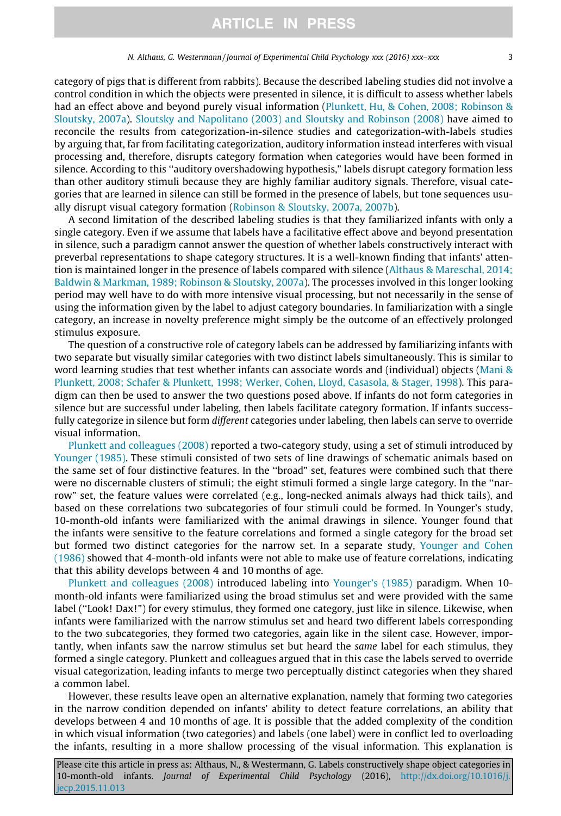category of pigs that is different from rabbits). Because the described labeling studies did not involve a control condition in which the objects were presented in silence, it is difficult to assess whether labels had an effect above and beyond purely visual information ([Plunkett, Hu, & Cohen, 2008; Robinson &](#page-12-0) [Sloutsky, 2007a](#page-12-0)). [Sloutsky and Napolitano \(2003\) and Sloutsky and Robinson \(2008\)](#page-12-0) have aimed to reconcile the results from categorization-in-silence studies and categorization-with-labels studies by arguing that, far from facilitating categorization, auditory information instead interferes with visual processing and, therefore, disrupts category formation when categories would have been formed in silence. According to this ''auditory overshadowing hypothesis," labels disrupt category formation less than other auditory stimuli because they are highly familiar auditory signals. Therefore, visual categories that are learned in silence can still be formed in the presence of labels, but tone sequences usually disrupt visual category formation ([Robinson & Sloutsky, 2007a, 2007b](#page-12-0)).

A second limitation of the described labeling studies is that they familiarized infants with only a single category. Even if we assume that labels have a facilitative effect above and beyond presentation in silence, such a paradigm cannot answer the question of whether labels constructively interact with preverbal representations to shape category structures. It is a well-known finding that infants' attention is maintained longer in the presence of labels compared with silence ([Althaus & Mareschal, 2014;](#page-11-0) [Baldwin & Markman, 1989; Robinson & Sloutsky, 2007a\)](#page-11-0). The processes involved in this longer looking period may well have to do with more intensive visual processing, but not necessarily in the sense of using the information given by the label to adjust category boundaries. In familiarization with a single category, an increase in novelty preference might simply be the outcome of an effectively prolonged stimulus exposure.

The question of a constructive role of category labels can be addressed by familiarizing infants with two separate but visually similar categories with two distinct labels simultaneously. This is similar to word learning studies that test whether infants can associate words and (individual) objects [\(Mani &](#page-12-0) [Plunkett, 2008; Schafer & Plunkett, 1998; Werker, Cohen, Lloyd, Casasola, & Stager, 1998](#page-12-0)). This paradigm can then be used to answer the two questions posed above. If infants do not form categories in silence but are successful under labeling, then labels facilitate category formation. If infants successfully categorize in silence but form different categories under labeling, then labels can serve to override visual information.

[Plunkett and colleagues \(2008\)](#page-12-0) reported a two-category study, using a set of stimuli introduced by [Younger \(1985\).](#page-12-0) These stimuli consisted of two sets of line drawings of schematic animals based on the same set of four distinctive features. In the ''broad" set, features were combined such that there were no discernable clusters of stimuli; the eight stimuli formed a single large category. In the ''narrow" set, the feature values were correlated (e.g., long-necked animals always had thick tails), and based on these correlations two subcategories of four stimuli could be formed. In Younger's study, 10-month-old infants were familiarized with the animal drawings in silence. Younger found that the infants were sensitive to the feature correlations and formed a single category for the broad set but formed two distinct categories for the narrow set. In a separate study, [Younger and Cohen](#page-12-0) [\(1986\)](#page-12-0) showed that 4-month-old infants were not able to make use of feature correlations, indicating that this ability develops between 4 and 10 months of age.

[Plunkett and colleagues \(2008\)](#page-12-0) introduced labeling into [Younger's \(1985\)](#page-12-0) paradigm. When 10 month-old infants were familiarized using the broad stimulus set and were provided with the same label (''Look! Dax!") for every stimulus, they formed one category, just like in silence. Likewise, when infants were familiarized with the narrow stimulus set and heard two different labels corresponding to the two subcategories, they formed two categories, again like in the silent case. However, importantly, when infants saw the narrow stimulus set but heard the same label for each stimulus, they formed a single category. Plunkett and colleagues argued that in this case the labels served to override visual categorization, leading infants to merge two perceptually distinct categories when they shared a common label.

However, these results leave open an alternative explanation, namely that forming two categories in the narrow condition depended on infants' ability to detect feature correlations, an ability that develops between 4 and 10 months of age. It is possible that the added complexity of the condition in which visual information (two categories) and labels (one label) were in conflict led to overloading the infants, resulting in a more shallow processing of the visual information. This explanation is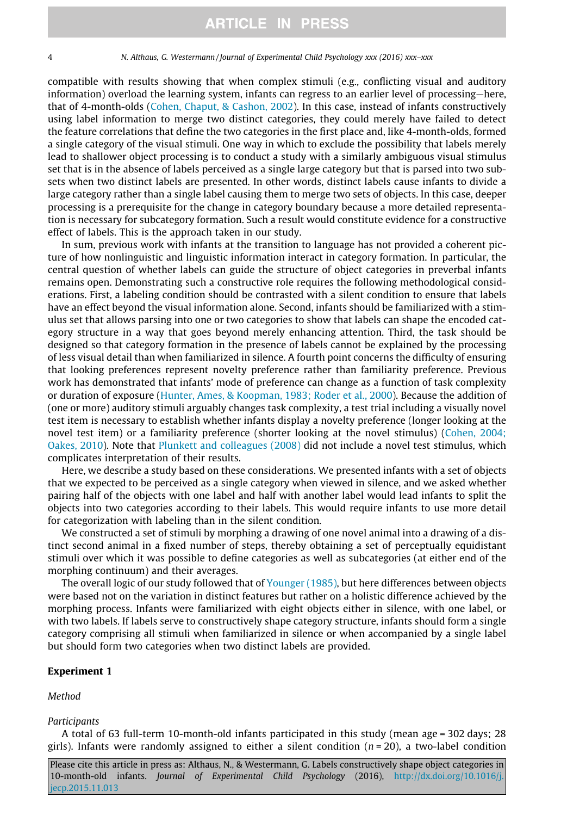#### 4 N. Althaus, G. Westermann / Journal of Experimental Child Psychology xxx (2016) xxx–xxx

compatible with results showing that when complex stimuli (e.g., conflicting visual and auditory information) overload the learning system, infants can regress to an earlier level of processing—here, that of 4-month-olds ([Cohen, Chaput, & Cashon, 2002\)](#page-11-0). In this case, instead of infants constructively using label information to merge two distinct categories, they could merely have failed to detect the feature correlations that define the two categories in the first place and, like 4-month-olds, formed a single category of the visual stimuli. One way in which to exclude the possibility that labels merely lead to shallower object processing is to conduct a study with a similarly ambiguous visual stimulus set that is in the absence of labels perceived as a single large category but that is parsed into two subsets when two distinct labels are presented. In other words, distinct labels cause infants to divide a large category rather than a single label causing them to merge two sets of objects. In this case, deeper processing is a prerequisite for the change in category boundary because a more detailed representation is necessary for subcategory formation. Such a result would constitute evidence for a constructive effect of labels. This is the approach taken in our study.

In sum, previous work with infants at the transition to language has not provided a coherent picture of how nonlinguistic and linguistic information interact in category formation. In particular, the central question of whether labels can guide the structure of object categories in preverbal infants remains open. Demonstrating such a constructive role requires the following methodological considerations. First, a labeling condition should be contrasted with a silent condition to ensure that labels have an effect beyond the visual information alone. Second, infants should be familiarized with a stimulus set that allows parsing into one or two categories to show that labels can shape the encoded category structure in a way that goes beyond merely enhancing attention. Third, the task should be designed so that category formation in the presence of labels cannot be explained by the processing of less visual detail than when familiarized in silence. A fourth point concerns the difficulty of ensuring that looking preferences represent novelty preference rather than familiarity preference. Previous work has demonstrated that infants' mode of preference can change as a function of task complexity or duration of exposure ([Hunter, Ames, & Koopman, 1983; Roder et al., 2000](#page-11-0)). Because the addition of (one or more) auditory stimuli arguably changes task complexity, a test trial including a visually novel test item is necessary to establish whether infants display a novelty preference (longer looking at the novel test item) or a familiarity preference (shorter looking at the novel stimulus) [\(Cohen, 2004;](#page-11-0) [Oakes, 2010\)](#page-11-0). Note that [Plunkett and colleagues \(2008\)](#page-12-0) did not include a novel test stimulus, which complicates interpretation of their results.

Here, we describe a study based on these considerations. We presented infants with a set of objects that we expected to be perceived as a single category when viewed in silence, and we asked whether pairing half of the objects with one label and half with another label would lead infants to split the objects into two categories according to their labels. This would require infants to use more detail for categorization with labeling than in the silent condition.

We constructed a set of stimuli by morphing a drawing of one novel animal into a drawing of a distinct second animal in a fixed number of steps, thereby obtaining a set of perceptually equidistant stimuli over which it was possible to define categories as well as subcategories (at either end of the morphing continuum) and their averages.

The overall logic of our study followed that of [Younger \(1985\)](#page-12-0), but here differences between objects were based not on the variation in distinct features but rather on a holistic difference achieved by the morphing process. Infants were familiarized with eight objects either in silence, with one label, or with two labels. If labels serve to constructively shape category structure, infants should form a single category comprising all stimuli when familiarized in silence or when accompanied by a single label but should form two categories when two distinct labels are provided.

### Experiment 1

# Method

#### Participants

A total of 63 full-term 10-month-old infants participated in this study (mean age = 302 days; 28 girls). Infants were randomly assigned to either a silent condition ( $n = 20$ ), a two-label condition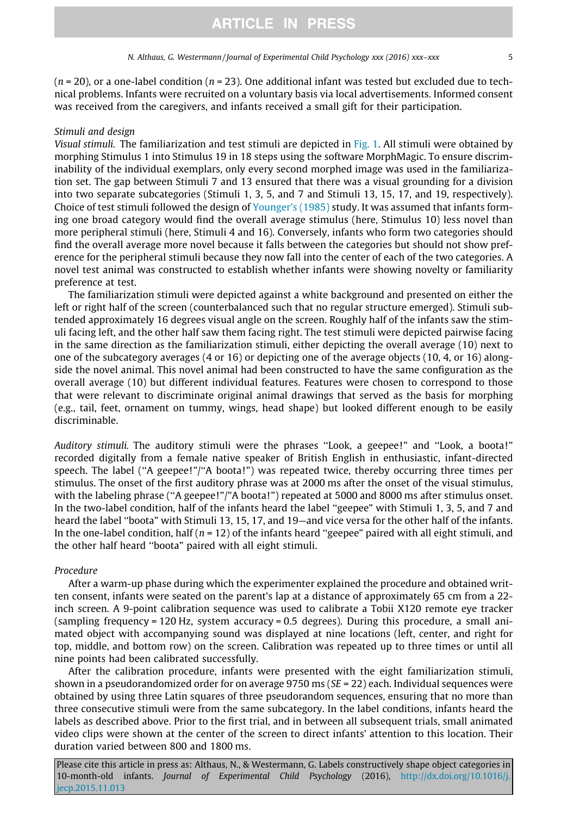$(n = 20)$ , or a one-label condition  $(n = 23)$ . One additional infant was tested but excluded due to technical problems. Infants were recruited on a voluntary basis via local advertisements. Informed consent was received from the caregivers, and infants received a small gift for their participation.

### Stimuli and design

Visual stimuli. The familiarization and test stimuli are depicted in [Fig. 1.](#page-5-0) All stimuli were obtained by morphing Stimulus 1 into Stimulus 19 in 18 steps using the software MorphMagic. To ensure discriminability of the individual exemplars, only every second morphed image was used in the familiarization set. The gap between Stimuli 7 and 13 ensured that there was a visual grounding for a division into two separate subcategories (Stimuli 1, 3, 5, and 7 and Stimuli 13, 15, 17, and 19, respectively). Choice of test stimuli followed the design of [Younger's \(1985\)](#page-12-0) study. It was assumed that infants forming one broad category would find the overall average stimulus (here, Stimulus 10) less novel than more peripheral stimuli (here, Stimuli 4 and 16). Conversely, infants who form two categories should find the overall average more novel because it falls between the categories but should not show preference for the peripheral stimuli because they now fall into the center of each of the two categories. A novel test animal was constructed to establish whether infants were showing novelty or familiarity preference at test.

The familiarization stimuli were depicted against a white background and presented on either the left or right half of the screen (counterbalanced such that no regular structure emerged). Stimuli subtended approximately 16 degrees visual angle on the screen. Roughly half of the infants saw the stimuli facing left, and the other half saw them facing right. The test stimuli were depicted pairwise facing in the same direction as the familiarization stimuli, either depicting the overall average (10) next to one of the subcategory averages (4 or 16) or depicting one of the average objects (10, 4, or 16) alongside the novel animal. This novel animal had been constructed to have the same configuration as the overall average (10) but different individual features. Features were chosen to correspond to those that were relevant to discriminate original animal drawings that served as the basis for morphing (e.g., tail, feet, ornament on tummy, wings, head shape) but looked different enough to be easily discriminable.

Auditory stimuli. The auditory stimuli were the phrases ''Look, a geepee!" and ''Look, a boota!" recorded digitally from a female native speaker of British English in enthusiastic, infant-directed speech. The label (''A geepee!"/''A boota!") was repeated twice, thereby occurring three times per stimulus. The onset of the first auditory phrase was at 2000 ms after the onset of the visual stimulus, with the labeling phrase ("A geepee!"/"A boota!") repeated at 5000 and 8000 ms after stimulus onset. In the two-label condition, half of the infants heard the label ''geepee" with Stimuli 1, 3, 5, and 7 and heard the label "boota" with Stimuli 13, 15, 17, and 19—and vice versa for the other half of the infants. In the one-label condition, half  $(n = 12)$  of the infants heard "geepee" paired with all eight stimuli, and the other half heard ''boota" paired with all eight stimuli.

# Procedure

After a warm-up phase during which the experimenter explained the procedure and obtained written consent, infants were seated on the parent's lap at a distance of approximately 65 cm from a 22 inch screen. A 9-point calibration sequence was used to calibrate a Tobii X120 remote eye tracker (sampling frequency = 120 Hz, system accuracy = 0.5 degrees). During this procedure, a small animated object with accompanying sound was displayed at nine locations (left, center, and right for top, middle, and bottom row) on the screen. Calibration was repeated up to three times or until all nine points had been calibrated successfully.

After the calibration procedure, infants were presented with the eight familiarization stimuli, shown in a pseudorandomized order for on average  $9750$  ms ( $SE = 22$ ) each. Individual sequences were obtained by using three Latin squares of three pseudorandom sequences, ensuring that no more than three consecutive stimuli were from the same subcategory. In the label conditions, infants heard the labels as described above. Prior to the first trial, and in between all subsequent trials, small animated video clips were shown at the center of the screen to direct infants' attention to this location. Their duration varied between 800 and 1800 ms.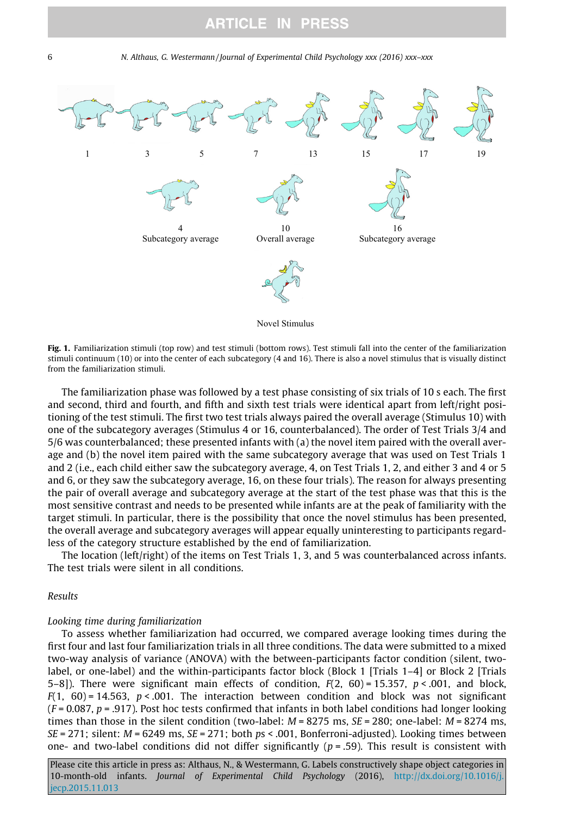<span id="page-5-0"></span>6 N. Althaus, G. Westermann / Journal of Experimental Child Psychology xxx (2016) xxx–xxx





The familiarization phase was followed by a test phase consisting of six trials of 10 s each. The first and second, third and fourth, and fifth and sixth test trials were identical apart from left/right positioning of the test stimuli. The first two test trials always paired the overall average (Stimulus 10) with one of the subcategory averages (Stimulus 4 or 16, counterbalanced). The order of Test Trials 3/4 and 5/6 was counterbalanced; these presented infants with (a) the novel item paired with the overall average and (b) the novel item paired with the same subcategory average that was used on Test Trials 1 and 2 (i.e., each child either saw the subcategory average, 4, on Test Trials 1, 2, and either 3 and 4 or 5 and 6, or they saw the subcategory average, 16, on these four trials). The reason for always presenting the pair of overall average and subcategory average at the start of the test phase was that this is the most sensitive contrast and needs to be presented while infants are at the peak of familiarity with the target stimuli. In particular, there is the possibility that once the novel stimulus has been presented, the overall average and subcategory averages will appear equally uninteresting to participants regardless of the category structure established by the end of familiarization.

The location (left/right) of the items on Test Trials 1, 3, and 5 was counterbalanced across infants. The test trials were silent in all conditions.

# Results

# Looking time during familiarization

To assess whether familiarization had occurred, we compared average looking times during the first four and last four familiarization trials in all three conditions. The data were submitted to a mixed two-way analysis of variance (ANOVA) with the between-participants factor condition (silent, twolabel, or one-label) and the within-participants factor block (Block 1 [Trials 1–4] or Block 2 [Trials 5-8]). There were significant main effects of condition,  $F(2, 60) = 15.357$ ,  $p < .001$ , and block,  $F(1, 60) = 14.563$ ,  $p < .001$ . The interaction between condition and block was not significant  $(F = 0.087, p = .917)$ . Post hoc tests confirmed that infants in both label conditions had longer looking times than those in the silent condition (two-label:  $M = 8275$  ms,  $SE = 280$ ; one-label:  $M = 8274$  ms,  $SE = 271$ ; silent:  $M = 6249$  ms,  $SE = 271$ ; both ps < .001, Bonferroni-adjusted). Looking times between one- and two-label conditions did not differ significantly ( $p = .59$ ). This result is consistent with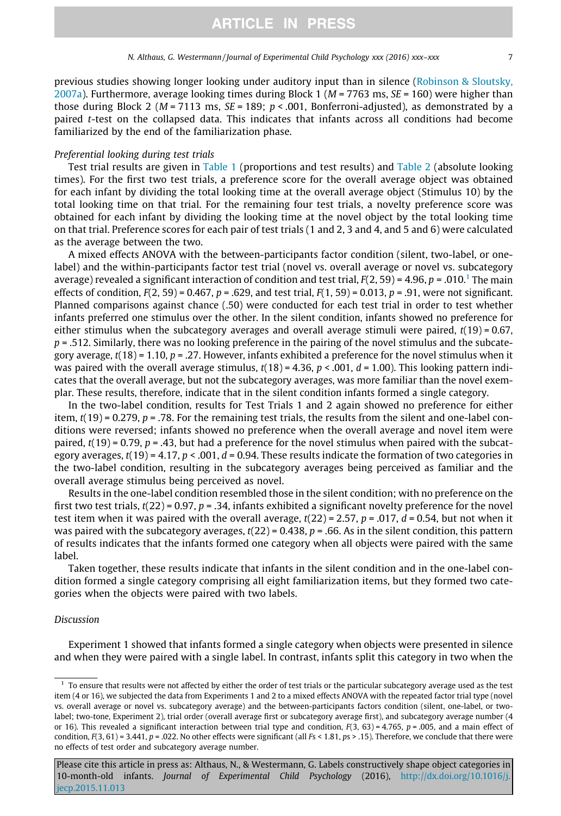previous studies showing longer looking under auditory input than in silence ([Robinson & Sloutsky,](#page-12-0) [2007a](#page-12-0)). Furthermore, average looking times during Block 1 ( $M = 7763$  ms,  $SE = 160$ ) were higher than those during Block 2 ( $M = 7113$  ms,  $SE = 189$ ;  $p < .001$ , Bonferroni-adjusted), as demonstrated by a paired t-test on the collapsed data. This indicates that infants across all conditions had become familiarized by the end of the familiarization phase.

# Preferential looking during test trials

Test trial results are given in [Table 1](#page-7-0) (proportions and test results) and [Table 2](#page-7-0) (absolute looking times). For the first two test trials, a preference score for the overall average object was obtained for each infant by dividing the total looking time at the overall average object (Stimulus 10) by the total looking time on that trial. For the remaining four test trials, a novelty preference score was obtained for each infant by dividing the looking time at the novel object by the total looking time on that trial. Preference scores for each pair of test trials (1 and 2, 3 and 4, and 5 and 6) were calculated as the average between the two.

A mixed effects ANOVA with the between-participants factor condition (silent, two-label, or onelabel) and the within-participants factor test trial (novel vs. overall average or novel vs. subcategory average) revealed a significant interaction of condition and test trial,  $F(2, 59) = 4.96$ ,  $p = .010$ .<sup>1</sup> The main effects of condition,  $F(2, 59) = 0.467$ ,  $p = .629$ , and test trial,  $F(1, 59) = 0.013$ ,  $p = .91$ , were not significant. Planned comparisons against chance (.50) were conducted for each test trial in order to test whether infants preferred one stimulus over the other. In the silent condition, infants showed no preference for either stimulus when the subcategory averages and overall average stimuli were paired,  $t(19) = 0.67$ ,  $p = 0.512$ . Similarly, there was no looking preference in the pairing of the novel stimulus and the subcategory average,  $t(18) = 1.10$ ,  $p = .27$ . However, infants exhibited a preference for the novel stimulus when it was paired with the overall average stimulus,  $t(18) = 4.36$ ,  $p < .001$ ,  $d = 1.00$ ). This looking pattern indicates that the overall average, but not the subcategory averages, was more familiar than the novel exemplar. These results, therefore, indicate that in the silent condition infants formed a single category.

In the two-label condition, results for Test Trials 1 and 2 again showed no preference for either item,  $t(19) = 0.279$ ,  $p = .78$ . For the remaining test trials, the results from the silent and one-label conditions were reversed; infants showed no preference when the overall average and novel item were paired,  $t(19) = 0.79$ ,  $p = .43$ , but had a preference for the novel stimulus when paired with the subcategory averages,  $t(19) = 4.17$ ,  $p < .001$ ,  $d = 0.94$ . These results indicate the formation of two categories in the two-label condition, resulting in the subcategory averages being perceived as familiar and the overall average stimulus being perceived as novel.

Results in the one-label condition resembled those in the silent condition; with no preference on the first two test trials,  $t(22) = 0.97$ ,  $p = .34$ , infants exhibited a significant novelty preference for the novel test item when it was paired with the overall average,  $t(22) = 2.57$ ,  $p = .017$ ,  $d = 0.54$ , but not when it was paired with the subcategory averages,  $t(22) = 0.438$ ,  $p = .66$ . As in the silent condition, this pattern of results indicates that the infants formed one category when all objects were paired with the same label.

Taken together, these results indicate that infants in the silent condition and in the one-label condition formed a single category comprising all eight familiarization items, but they formed two categories when the objects were paired with two labels.

# Discussion

Experiment 1 showed that infants formed a single category when objects were presented in silence and when they were paired with a single label. In contrast, infants split this category in two when the

 $<sup>1</sup>$  To ensure that results were not affected by either the order of test trials or the particular subcategory average used as the test</sup> item (4 or 16), we subjected the data from Experiments 1 and 2 to a mixed effects ANOVA with the repeated factor trial type (novel vs. overall average or novel vs. subcategory average) and the between-participants factors condition (silent, one-label, or twolabel; two-tone, Experiment 2), trial order (overall average first or subcategory average first), and subcategory average number (4 or 16). This revealed a significant interaction between trial type and condition,  $F(3, 63) = 4.765$ ,  $p = .005$ , and a main effect of condition,  $F(3, 61) = 3.441$ ,  $p = .022$ . No other effects were significant (all  $Fs < 1.81$ ,  $ps > .15$ ). Therefore, we conclude that there were no effects of test order and subcategory average number.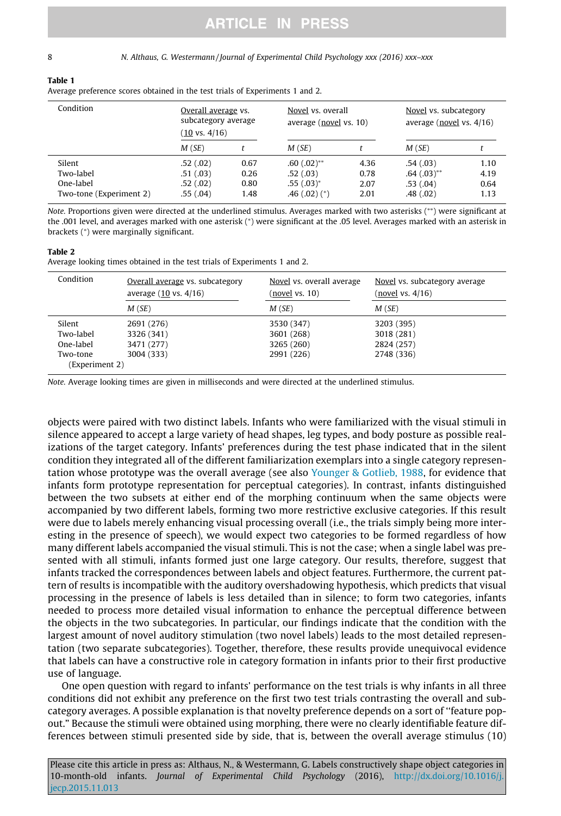#### <span id="page-7-0"></span>8 N. Althaus, G. Westermann / Journal of Experimental Child Psychology xxx (2016) xxx-xxx

#### Table 1

Average preference scores obtained in the test trials of Experiments 1 and 2.

| Condition               | Overall average vs.<br>subcategory average<br>$(10 \text{ vs. } 4/16)$ |      | Novel vs. overall<br>average (novel vs. 10) |      | Novel vs. subcategory<br>average (novel vs. $4/16$ ) |      |
|-------------------------|------------------------------------------------------------------------|------|---------------------------------------------|------|------------------------------------------------------|------|
|                         | M(SE)                                                                  |      | M(SE)                                       |      | M(SE)                                                |      |
| Silent                  | .52(.02)                                                               | 0.67 | $.60(.02)$ **                               | 4.36 | .54(.03)                                             | 1.10 |
| Two-label               | .51(.03)                                                               | 0.26 | .52(.03)                                    | 0.78 | $.64(.03)$ **                                        | 4.19 |
| One-label               | .52(.02)                                                               | 0.80 | $.55(.03)^*$                                | 2.07 | .53(0.04)                                            | 0.64 |
| Two-tone (Experiment 2) | .55(.04)                                                               | 1.48 | $.46(.02)$ (*)                              | 2.01 | .48(.02)                                             | 1.13 |

Note. Proportions given were directed at the underlined stimulus. Averages marked with two asterisks (\*\*) were significant at the .001 level, and averages marked with one asterisk (⁄ ) were significant at the .05 level. Averages marked with an asterisk in brackets (⁄ ) were marginally significant.

#### Table 2

Average looking times obtained in the test trials of Experiments 1 and 2.

| Condition      | Overall average vs. subcategory<br>average $(10 \text{ vs. } 4/16)$ | Novel vs. overall average<br>(novel vs. 10) | Novel vs. subcategory average<br>(novel vs. 4/16) |
|----------------|---------------------------------------------------------------------|---------------------------------------------|---------------------------------------------------|
|                | M(SE)                                                               | M(SE)                                       | M(SE)                                             |
| Silent         | 2691 (276)                                                          | 3530 (347)                                  | 3203 (395)                                        |
| Two-label      | 3326 (341)                                                          | 3601 (268)                                  | 3018 (281)                                        |
| One-label      | 3471 (277)                                                          | 3265 (260)                                  | 2824 (257)                                        |
| Two-tone       | 3004 (333)                                                          | 2991 (226)                                  | 2748 (336)                                        |
| (Experiment 2) |                                                                     |                                             |                                                   |

Note. Average looking times are given in milliseconds and were directed at the underlined stimulus.

objects were paired with two distinct labels. Infants who were familiarized with the visual stimuli in silence appeared to accept a large variety of head shapes, leg types, and body posture as possible realizations of the target category. Infants' preferences during the test phase indicated that in the silent condition they integrated all of the different familiarization exemplars into a single category representation whose prototype was the overall average (see also [Younger & Gotlieb, 1988](#page-12-0), for evidence that infants form prototype representation for perceptual categories). In contrast, infants distinguished between the two subsets at either end of the morphing continuum when the same objects were accompanied by two different labels, forming two more restrictive exclusive categories. If this result were due to labels merely enhancing visual processing overall (i.e., the trials simply being more interesting in the presence of speech), we would expect two categories to be formed regardless of how many different labels accompanied the visual stimuli. This is not the case; when a single label was presented with all stimuli, infants formed just one large category. Our results, therefore, suggest that infants tracked the correspondences between labels and object features. Furthermore, the current pattern of results is incompatible with the auditory overshadowing hypothesis, which predicts that visual processing in the presence of labels is less detailed than in silence; to form two categories, infants needed to process more detailed visual information to enhance the perceptual difference between the objects in the two subcategories. In particular, our findings indicate that the condition with the largest amount of novel auditory stimulation (two novel labels) leads to the most detailed representation (two separate subcategories). Together, therefore, these results provide unequivocal evidence that labels can have a constructive role in category formation in infants prior to their first productive use of language.

One open question with regard to infants' performance on the test trials is why infants in all three conditions did not exhibit any preference on the first two test trials contrasting the overall and subcategory averages. A possible explanation is that novelty preference depends on a sort of ''feature popout." Because the stimuli were obtained using morphing, there were no clearly identifiable feature differences between stimuli presented side by side, that is, between the overall average stimulus (10)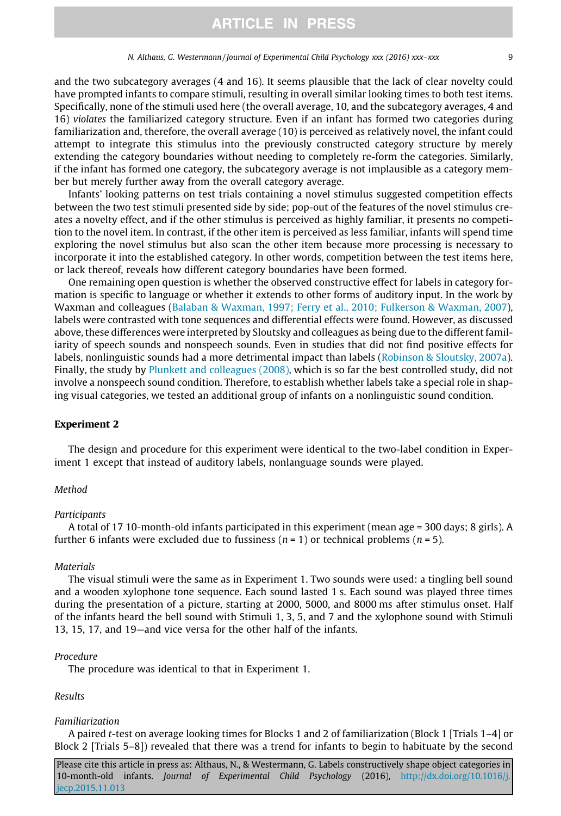and the two subcategory averages (4 and 16). It seems plausible that the lack of clear novelty could have prompted infants to compare stimuli, resulting in overall similar looking times to both test items. Specifically, none of the stimuli used here (the overall average, 10, and the subcategory averages, 4 and 16) violates the familiarized category structure. Even if an infant has formed two categories during familiarization and, therefore, the overall average (10) is perceived as relatively novel, the infant could attempt to integrate this stimulus into the previously constructed category structure by merely extending the category boundaries without needing to completely re-form the categories. Similarly, if the infant has formed one category, the subcategory average is not implausible as a category member but merely further away from the overall category average.

Infants' looking patterns on test trials containing a novel stimulus suggested competition effects between the two test stimuli presented side by side; pop-out of the features of the novel stimulus creates a novelty effect, and if the other stimulus is perceived as highly familiar, it presents no competition to the novel item. In contrast, if the other item is perceived as less familiar, infants will spend time exploring the novel stimulus but also scan the other item because more processing is necessary to incorporate it into the established category. In other words, competition between the test items here, or lack thereof, reveals how different category boundaries have been formed.

One remaining open question is whether the observed constructive effect for labels in category formation is specific to language or whether it extends to other forms of auditory input. In the work by Waxman and colleagues ([Balaban & Waxman, 1997; Ferry et al., 2010; Fulkerson & Waxman, 2007](#page-11-0)), labels were contrasted with tone sequences and differential effects were found. However, as discussed above, these differences were interpreted by Sloutsky and colleagues as being due to the different familiarity of speech sounds and nonspeech sounds. Even in studies that did not find positive effects for labels, nonlinguistic sounds had a more detrimental impact than labels ([Robinson & Sloutsky, 2007a\)](#page-12-0). Finally, the study by [Plunkett and colleagues \(2008\)](#page-12-0), which is so far the best controlled study, did not involve a nonspeech sound condition. Therefore, to establish whether labels take a special role in shaping visual categories, we tested an additional group of infants on a nonlinguistic sound condition.

# Experiment 2

The design and procedure for this experiment were identical to the two-label condition in Experiment 1 except that instead of auditory labels, nonlanguage sounds were played.

### Method

#### **Participants**

A total of 17 10-month-old infants participated in this experiment (mean age = 300 days; 8 girls). A further 6 infants were excluded due to fussiness ( $n = 1$ ) or technical problems ( $n = 5$ ).

### **Materials**

The visual stimuli were the same as in Experiment 1. Two sounds were used: a tingling bell sound and a wooden xylophone tone sequence. Each sound lasted 1 s. Each sound was played three times during the presentation of a picture, starting at 2000, 5000, and 8000 ms after stimulus onset. Half of the infants heard the bell sound with Stimuli 1, 3, 5, and 7 and the xylophone sound with Stimuli 13, 15, 17, and 19—and vice versa for the other half of the infants.

# Procedure

The procedure was identical to that in Experiment 1.

# Results

# Familiarization

A paired t-test on average looking times for Blocks 1 and 2 of familiarization (Block 1 [Trials 1–4] or Block 2 [Trials 5–8]) revealed that there was a trend for infants to begin to habituate by the second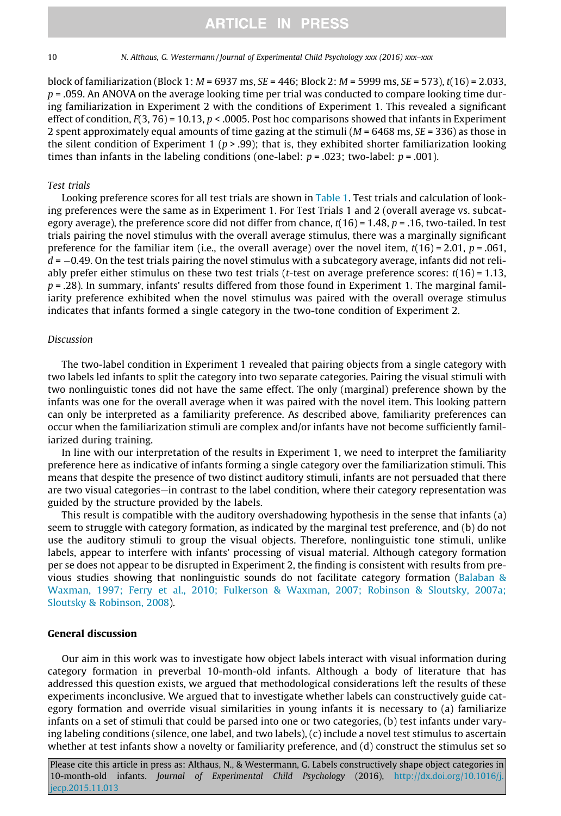10 N. Althaus, G. Westermann / Journal of Experimental Child Psychology xxx (2016) xxx–xxx

block of familiarization (Block 1:  $M = 6937$  ms,  $SE = 446$ ; Block 2:  $M = 5999$  ms,  $SE = 573$ ),  $t(16) = 2.033$ ,  $p = 0.059$ . An ANOVA on the average looking time per trial was conducted to compare looking time during familiarization in Experiment 2 with the conditions of Experiment 1. This revealed a significant effect of condition,  $F(3, 76) = 10.13$ ,  $p < .0005$ . Post hoc comparisons showed that infants in Experiment 2 spent approximately equal amounts of time gazing at the stimuli ( $M = 6468$  ms,  $SE = 336$ ) as those in the silent condition of Experiment 1 ( $p > .99$ ); that is, they exhibited shorter familiarization looking times than infants in the labeling conditions (one-label:  $p = .023$ ; two-label:  $p = .001$ ).

# Test trials

Looking preference scores for all test trials are shown in [Table 1.](#page-7-0) Test trials and calculation of looking preferences were the same as in Experiment 1. For Test Trials 1 and 2 (overall average vs. subcategory average), the preference score did not differ from chance,  $t(16) = 1.48$ ,  $p = .16$ , two-tailed. In test trials pairing the novel stimulus with the overall average stimulus, there was a marginally significant preference for the familiar item (i.e., the overall average) over the novel item,  $t(16) = 2.01$ ,  $p = .061$ ,  $d = -0.49$ . On the test trials pairing the novel stimulus with a subcategory average, infants did not reliably prefer either stimulus on these two test trials (*t*-test on average preference scores:  $t(16) = 1.13$ ,  $p = 0.28$ ). In summary, infants' results differed from those found in Experiment 1. The marginal familiarity preference exhibited when the novel stimulus was paired with the overall overage stimulus indicates that infants formed a single category in the two-tone condition of Experiment 2.

# Discussion

The two-label condition in Experiment 1 revealed that pairing objects from a single category with two labels led infants to split the category into two separate categories. Pairing the visual stimuli with two nonlinguistic tones did not have the same effect. The only (marginal) preference shown by the infants was one for the overall average when it was paired with the novel item. This looking pattern can only be interpreted as a familiarity preference. As described above, familiarity preferences can occur when the familiarization stimuli are complex and/or infants have not become sufficiently familiarized during training.

In line with our interpretation of the results in Experiment 1, we need to interpret the familiarity preference here as indicative of infants forming a single category over the familiarization stimuli. This means that despite the presence of two distinct auditory stimuli, infants are not persuaded that there are two visual categories—in contrast to the label condition, where their category representation was guided by the structure provided by the labels.

This result is compatible with the auditory overshadowing hypothesis in the sense that infants (a) seem to struggle with category formation, as indicated by the marginal test preference, and (b) do not use the auditory stimuli to group the visual objects. Therefore, nonlinguistic tone stimuli, unlike labels, appear to interfere with infants' processing of visual material. Although category formation per se does not appear to be disrupted in Experiment 2, the finding is consistent with results from previous studies showing that nonlinguistic sounds do not facilitate category formation ([Balaban &](#page-11-0) [Waxman, 1997; Ferry et al., 2010; Fulkerson & Waxman, 2007; Robinson & Sloutsky, 2007a;](#page-11-0) [Sloutsky & Robinson, 2008](#page-11-0)).

# General discussion

Our aim in this work was to investigate how object labels interact with visual information during category formation in preverbal 10-month-old infants. Although a body of literature that has addressed this question exists, we argued that methodological considerations left the results of these experiments inconclusive. We argued that to investigate whether labels can constructively guide category formation and override visual similarities in young infants it is necessary to (a) familiarize infants on a set of stimuli that could be parsed into one or two categories, (b) test infants under varying labeling conditions (silence, one label, and two labels), (c) include a novel test stimulus to ascertain whether at test infants show a novelty or familiarity preference, and (d) construct the stimulus set so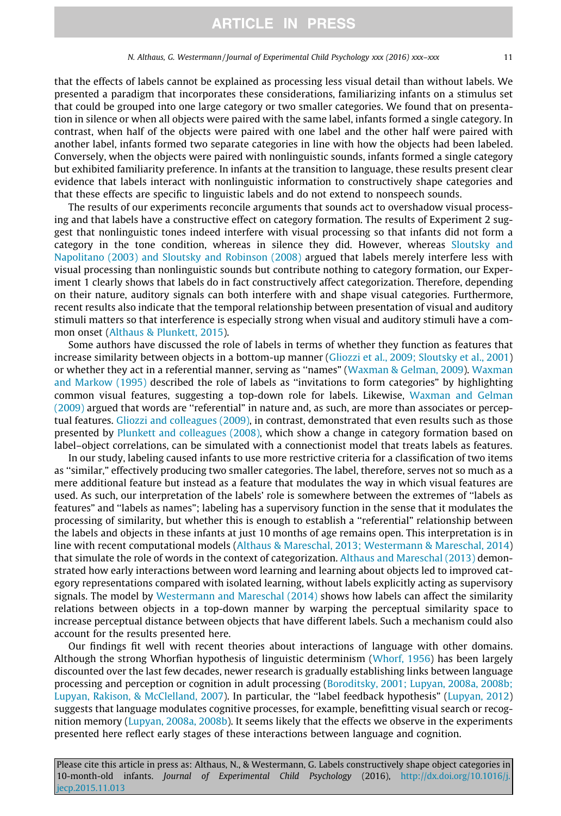that the effects of labels cannot be explained as processing less visual detail than without labels. We presented a paradigm that incorporates these considerations, familiarizing infants on a stimulus set that could be grouped into one large category or two smaller categories. We found that on presentation in silence or when all objects were paired with the same label, infants formed a single category. In contrast, when half of the objects were paired with one label and the other half were paired with another label, infants formed two separate categories in line with how the objects had been labeled. Conversely, when the objects were paired with nonlinguistic sounds, infants formed a single category but exhibited familiarity preference. In infants at the transition to language, these results present clear evidence that labels interact with nonlinguistic information to constructively shape categories and that these effects are specific to linguistic labels and do not extend to nonspeech sounds.

The results of our experiments reconcile arguments that sounds act to overshadow visual processing and that labels have a constructive effect on category formation. The results of Experiment 2 suggest that nonlinguistic tones indeed interfere with visual processing so that infants did not form a category in the tone condition, whereas in silence they did. However, whereas [Sloutsky and](#page-12-0) [Napolitano \(2003\) and Sloutsky and Robinson \(2008\)](#page-12-0) argued that labels merely interfere less with visual processing than nonlinguistic sounds but contribute nothing to category formation, our Experiment 1 clearly shows that labels do in fact constructively affect categorization. Therefore, depending on their nature, auditory signals can both interfere with and shape visual categories. Furthermore, recent results also indicate that the temporal relationship between presentation of visual and auditory stimuli matters so that interference is especially strong when visual and auditory stimuli have a common onset [\(Althaus & Plunkett, 2015](#page-11-0)).

Some authors have discussed the role of labels in terms of whether they function as features that increase similarity between objects in a bottom-up manner ([Gliozzi et al., 2009; Sloutsky et al., 2001\)](#page-11-0) or whether they act in a referential manner, serving as ''names" [\(Waxman & Gelman, 2009\)](#page-12-0). [Waxman](#page-12-0) [and Markow \(1995\)](#page-12-0) described the role of labels as ''invitations to form categories" by highlighting common visual features, suggesting a top-down role for labels. Likewise, [Waxman and Gelman](#page-12-0) [\(2009\)](#page-12-0) argued that words are ''referential" in nature and, as such, are more than associates or perceptual features. [Gliozzi and colleagues \(2009\)](#page-11-0), in contrast, demonstrated that even results such as those presented by [Plunkett and colleagues \(2008\),](#page-12-0) which show a change in category formation based on label–object correlations, can be simulated with a connectionist model that treats labels as features.

In our study, labeling caused infants to use more restrictive criteria for a classification of two items as ''similar," effectively producing two smaller categories. The label, therefore, serves not so much as a mere additional feature but instead as a feature that modulates the way in which visual features are used. As such, our interpretation of the labels' role is somewhere between the extremes of ''labels as features" and ''labels as names"; labeling has a supervisory function in the sense that it modulates the processing of similarity, but whether this is enough to establish a ''referential" relationship between the labels and objects in these infants at just 10 months of age remains open. This interpretation is in line with recent computational models ([Althaus & Mareschal, 2013; Westermann & Mareschal, 2014\)](#page-11-0) that simulate the role of words in the context of categorization. [Althaus and Mareschal \(2013\)](#page-11-0) demonstrated how early interactions between word learning and learning about objects led to improved category representations compared with isolated learning, without labels explicitly acting as supervisory signals. The model by [Westermann and Mareschal \(2014\)](#page-12-0) shows how labels can affect the similarity relations between objects in a top-down manner by warping the perceptual similarity space to increase perceptual distance between objects that have different labels. Such a mechanism could also account for the results presented here.

Our findings fit well with recent theories about interactions of language with other domains. Although the strong Whorfian hypothesis of linguistic determinism ([Whorf, 1956\)](#page-12-0) has been largely discounted over the last few decades, newer research is gradually establishing links between language processing and perception or cognition in adult processing ([Boroditsky, 2001; Lupyan, 2008a, 2008b;](#page-11-0) [Lupyan, Rakison, & McClelland, 2007\)](#page-11-0). In particular, the ''label feedback hypothesis" ([Lupyan, 2012\)](#page-11-0) suggests that language modulates cognitive processes, for example, benefitting visual search or recognition memory [\(Lupyan, 2008a, 2008b\)](#page-11-0). It seems likely that the effects we observe in the experiments presented here reflect early stages of these interactions between language and cognition.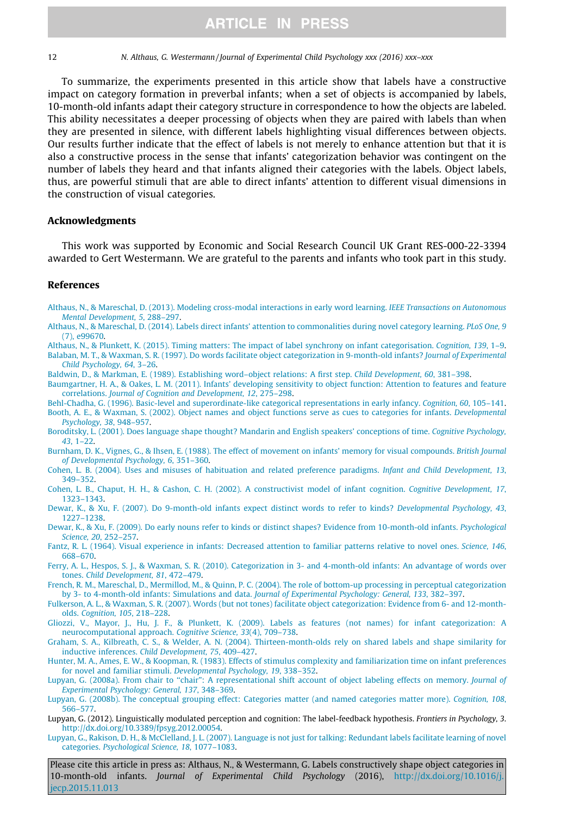<span id="page-11-0"></span>12 N. Althaus, G. Westermann / Journal of Experimental Child Psychology xxx (2016) xxx–xxx

To summarize, the experiments presented in this article show that labels have a constructive impact on category formation in preverbal infants; when a set of objects is accompanied by labels, 10-month-old infants adapt their category structure in correspondence to how the objects are labeled. This ability necessitates a deeper processing of objects when they are paired with labels than when they are presented in silence, with different labels highlighting visual differences between objects. Our results further indicate that the effect of labels is not merely to enhance attention but that it is also a constructive process in the sense that infants' categorization behavior was contingent on the number of labels they heard and that infants aligned their categories with the labels. Object labels, thus, are powerful stimuli that are able to direct infants' attention to different visual dimensions in the construction of visual categories.

# Acknowledgments

This work was supported by Economic and Social Research Council UK Grant RES-000-22-3394 awarded to Gert Westermann. We are grateful to the parents and infants who took part in this study.

#### References

- [Althaus, N., & Mareschal, D. \(2013\). Modeling cross-modal interactions in early word learning.](http://refhub.elsevier.com/S0022-0965(15)00289-1/h0005) IEEE Transactions on Autonomous [Mental Development, 5](http://refhub.elsevier.com/S0022-0965(15)00289-1/h0005), 288–297.
- [Althaus, N., & Mareschal, D. \(2014\). Labels direct infants' attention to commonalities during novel category learning.](http://refhub.elsevier.com/S0022-0965(15)00289-1/h0010) PLoS One, 9 [\(7\), e99670.](http://refhub.elsevier.com/S0022-0965(15)00289-1/h0010)
- [Althaus, N., & Plunkett, K. \(2015\). Timing matters: The impact of label synchrony on infant categorisation.](http://refhub.elsevier.com/S0022-0965(15)00289-1/h0015) Cognition, 139, 1–9.

[Balaban, M. T., & Waxman, S. R. \(1997\). Do words facilitate object categorization in 9-month-old infants?](http://refhub.elsevier.com/S0022-0965(15)00289-1/h0020) Journal of Experimental [Child Psychology, 64](http://refhub.elsevier.com/S0022-0965(15)00289-1/h0020), 3–26.

[Baldwin, D., & Markman, E. \(1989\). Establishing word–object relations: A first step.](http://refhub.elsevier.com/S0022-0965(15)00289-1/h0025) Child Development, 60, 381–398.

[Baumgartner, H. A., & Oakes, L. M. \(2011\). Infants' developing sensitivity to object function: Attention to features and feature](http://refhub.elsevier.com/S0022-0965(15)00289-1/h0030) correlations. [Journal of Cognition and Development, 12](http://refhub.elsevier.com/S0022-0965(15)00289-1/h0030), 275–298.

[Behl-Chadha, G. \(1996\). Basic-level and superordinate-like categorical representations in early infancy.](http://refhub.elsevier.com/S0022-0965(15)00289-1/h0035) Cognition, 60, 105–141. [Booth, A. E., & Waxman, S. \(2002\). Object names and object functions serve as cues to categories for infants.](http://refhub.elsevier.com/S0022-0965(15)00289-1/h0040) Developmental [Psychology, 38](http://refhub.elsevier.com/S0022-0965(15)00289-1/h0040), 948–957.

[Boroditsky, L. \(2001\). Does language shape thought? Mandarin and English speakers' conceptions of time.](http://refhub.elsevier.com/S0022-0965(15)00289-1/h0045) Cognitive Psychology, 43[, 1–22.](http://refhub.elsevier.com/S0022-0965(15)00289-1/h0045)

[Burnham, D. K., Vignes, G., & Ihsen, E. \(1988\). The effect of movement on infants' memory for visual compounds.](http://refhub.elsevier.com/S0022-0965(15)00289-1/h0050) British Journal [of Developmental Psychology, 6](http://refhub.elsevier.com/S0022-0965(15)00289-1/h0050), 351–360.

[Cohen, L. B. \(2004\). Uses and misuses of habituation and related preference paradigms.](http://refhub.elsevier.com/S0022-0965(15)00289-1/h0055) Infant and Child Development, 13, [349–352.](http://refhub.elsevier.com/S0022-0965(15)00289-1/h0055)

[Cohen, L. B., Chaput, H. H., & Cashon, C. H. \(2002\). A constructivist model of infant cognition.](http://refhub.elsevier.com/S0022-0965(15)00289-1/h0060) Cognitive Development, 17, [1323–1343](http://refhub.elsevier.com/S0022-0965(15)00289-1/h0060).

[Dewar, K., & Xu, F. \(2007\). Do 9-month-old infants expect distinct words to refer to kinds?](http://refhub.elsevier.com/S0022-0965(15)00289-1/h0065) Developmental Psychology, 43, [1227–1238](http://refhub.elsevier.com/S0022-0965(15)00289-1/h0065).

[Dewar, K., & Xu, F. \(2009\). Do early nouns refer to kinds or distinct shapes? Evidence from 10-month-old infants.](http://refhub.elsevier.com/S0022-0965(15)00289-1/h0070) Psychological [Science, 20](http://refhub.elsevier.com/S0022-0965(15)00289-1/h0070), 252–257.

[Fantz, R. L. \(1964\). Visual experience in infants: Decreased attention to familiar patterns relative to novel ones.](http://refhub.elsevier.com/S0022-0965(15)00289-1/h0075) Science, 146, [668–670](http://refhub.elsevier.com/S0022-0965(15)00289-1/h0075).

[Ferry, A. L., Hespos, S. J., & Waxman, S. R. \(2010\). Categorization in 3- and 4-month-old infants: An advantage of words over](http://refhub.elsevier.com/S0022-0965(15)00289-1/h0080) tones. [Child Development, 81](http://refhub.elsevier.com/S0022-0965(15)00289-1/h0080), 472–479.

[French, R. M., Mareschal, D., Mermillod, M., & Quinn, P. C. \(2004\). The role of bottom-up processing in perceptual categorization](http://refhub.elsevier.com/S0022-0965(15)00289-1/h0085) [by 3- to 4-month-old infants: Simulations and data.](http://refhub.elsevier.com/S0022-0965(15)00289-1/h0085) Journal of Experimental Psychology: General, 133, 382–397.

[Fulkerson, A. L., & Waxman, S. R. \(2007\). Words \(but not tones\) facilitate object categorization: Evidence from 6- and 12-month](http://refhub.elsevier.com/S0022-0965(15)00289-1/h0090)olds. [Cognition, 105](http://refhub.elsevier.com/S0022-0965(15)00289-1/h0090), 218–228.

[Gliozzi, V., Mayor, J., Hu, J. F., & Plunkett, K. \(2009\). Labels as features \(not names\) for infant categorization: A](http://refhub.elsevier.com/S0022-0965(15)00289-1/h9000) [neurocomputational approach.](http://refhub.elsevier.com/S0022-0965(15)00289-1/h9000) Cognitive Science, 33(4), 709–738.

[Graham, S. A., Kilbreath, C. S., & Welder, A. N. \(2004\). Thirteen-month-olds rely on shared labels and shape similarity for](http://refhub.elsevier.com/S0022-0965(15)00289-1/h0095) inductive inferences. [Child Development, 75](http://refhub.elsevier.com/S0022-0965(15)00289-1/h0095), 409–427.

[Hunter, M. A., Ames, E. W., & Koopman, R. \(1983\). Effects of stimulus complexity and familiarization time on infant preferences](http://refhub.elsevier.com/S0022-0965(15)00289-1/h0100) [for novel and familiar stimuli.](http://refhub.elsevier.com/S0022-0965(15)00289-1/h0100) Developmental Psychology, 19, 338–352.

[Lupyan, G. \(2008a\). From chair to ''chair": A representational shift account of object labeling effects on memory.](http://refhub.elsevier.com/S0022-0965(15)00289-1/h0105) Journal of [Experimental Psychology: General, 137](http://refhub.elsevier.com/S0022-0965(15)00289-1/h0105), 348–369.

[Lupyan, G. \(2008b\). The conceptual grouping effect: Categories matter \(and named categories matter more\).](http://refhub.elsevier.com/S0022-0965(15)00289-1/h0110) Cognition, 108, [566–577.](http://refhub.elsevier.com/S0022-0965(15)00289-1/h0110)

Lupyan, G. (2012). Linguistically modulated perception and cognition: The label-feedback hypothesis. Frontiers in Psychology, 3. [http://dx.doi.org/10.3389/fpsyg.2012.00054.](http://dx.doi.org/10.3389/fpsyg.2012.00054)

[Lupyan, G., Rakison, D. H., & McClelland, J. L. \(2007\). Language is not just for talking: Redundant labels facilitate learning of novel](http://refhub.elsevier.com/S0022-0965(15)00289-1/h0120) categories. [Psychological Science, 18](http://refhub.elsevier.com/S0022-0965(15)00289-1/h0120), 1077–1083.